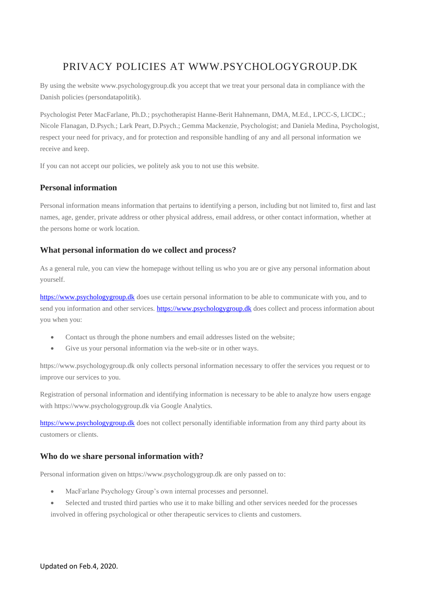# PRIVACY POLICIES AT WWW.PSYCHOLOGYGROUP.DK

By using the website www.psychologygroup.dk you accept that we treat your personal data in compliance with the Danish policies (persondatapolitik).

Psychologist Peter MacFarlane, Ph.D.; psychotherapist Hanne-Berit Hahnemann, DMA, M.Ed., LPCC-S, LICDC.; Nicole Flanagan, D.Psych.; Lark Peart, D.Psych.; Gemma Mackenzie, Psychologist; and Daniela Medina, Psychologist, respect your need for privacy, and for protection and responsible handling of any and all personal information we receive and keep.

If you can not accept our policies, we politely ask you to not use this website.

## **Personal information**

Personal information means information that pertains to identifying a person, including but not limited to, first and last names, age, gender, private address or other physical address, email address, or other contact information, whether at the persons home or work location.

### **What personal information do we collect and process?**

As a general rule, you can view the homepage without telling us who you are or give any personal information about yourself.

[https://www.psychologygroup.dk](https://www.psychologygroup.dk/) does use certain personal information to be able to communicate with you, and to send you information and other services. [https://www.psychologygroup.dk](https://www.psychologygroup.dk/) does collect and process information about you when you:

- Contact us through the phone numbers and email addresses listed on the website;
- Give us your personal information via the web-site or in other ways.

https://www.psychologygroup.dk only collects personal information necessary to offer the services you request or to improve our services to you.

Registration of personal information and identifying information is necessary to be able to analyze how users engage with https://www.psychologygroup.dk via Google Analytics.

[https://www.psychologygroup.dk](https://www.psychologygroup.dk/) does not collect personally identifiable information from any third party about its customers or clients.

## **Who do we share personal information with?**

Personal information given on https://www.psychologygroup.dk are only passed on to:

- MacFarlane Psychology Group's own internal processes and personnel.
- Selected and trusted third parties who use it to make billing and other services needed for the processes involved in offering psychological or other therapeutic services to clients and customers.